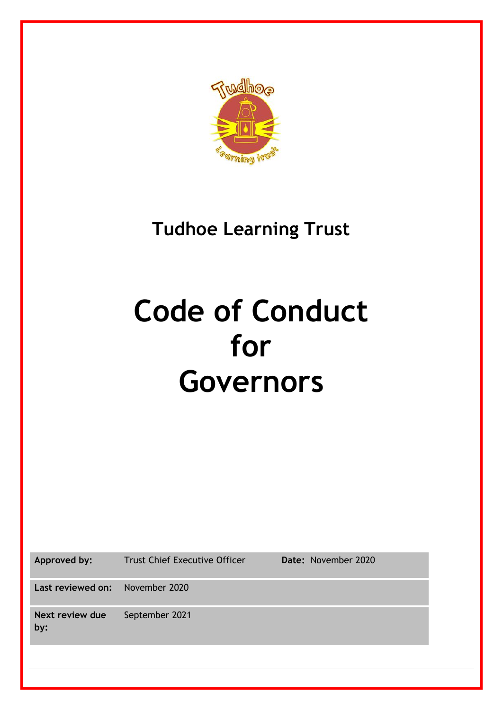

# **Tudhoe Learning Trust**

# **Code of Conduct for Governors**

**Approved by:** Trust Chief Executive Officer **Date:** November 2020

**Last reviewed on:** November 2020

**Next review due by:** September 2021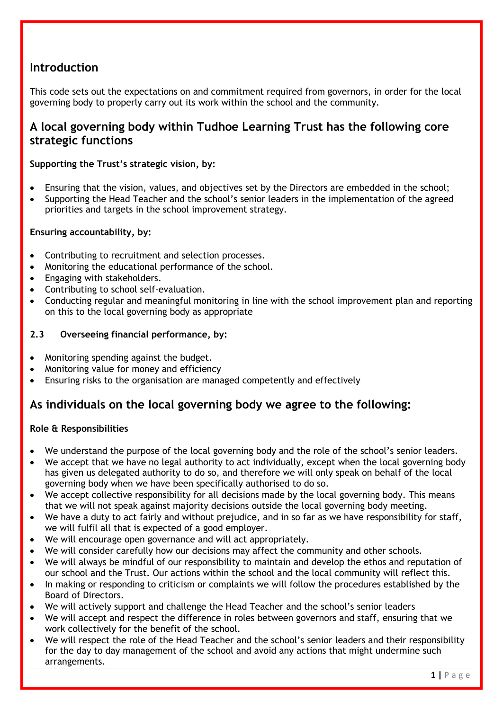# **Introduction**

This code sets out the expectations on and commitment required from governors, in order for the local governing body to properly carry out its work within the school and the community.

# **A local governing body within Tudhoe Learning Trust has the following core strategic functions**

#### **Supporting the Trust's strategic vision, by:**

- Ensuring that the vision, values, and objectives set by the Directors are embedded in the school;
- Supporting the Head Teacher and the school's senior leaders in the implementation of the agreed priorities and targets in the school improvement strategy.

#### **Ensuring accountability, by:**

- Contributing to recruitment and selection processes.
- Monitoring the educational performance of the school.
- Engaging with stakeholders.
- Contributing to school self-evaluation.
- Conducting regular and meaningful monitoring in line with the school improvement plan and reporting on this to the local governing body as appropriate

#### **2.3 Overseeing financial performance, by:**

- Monitoring spending against the budget.
- Monitoring value for money and efficiency
- Ensuring risks to the organisation are managed competently and effectively

## **As individuals on the local governing body we agree to the following:**

#### **Role & Responsibilities**

- We understand the purpose of the local governing body and the role of the school's senior leaders.
- We accept that we have no legal authority to act individually, except when the local governing body has given us delegated authority to do so, and therefore we will only speak on behalf of the local governing body when we have been specifically authorised to do so.
- We accept collective responsibility for all decisions made by the local governing body. This means that we will not speak against majority decisions outside the local governing body meeting.
- We have a duty to act fairly and without prejudice, and in so far as we have responsibility for staff, we will fulfil all that is expected of a good employer.
- We will encourage open governance and will act appropriately.
- We will consider carefully how our decisions may affect the community and other schools.
- We will always be mindful of our responsibility to maintain and develop the ethos and reputation of our school and the Trust. Our actions within the school and the local community will reflect this.
- In making or responding to criticism or complaints we will follow the procedures established by the Board of Directors.
- We will actively support and challenge the Head Teacher and the school's senior leaders
- We will accept and respect the difference in roles between governors and staff, ensuring that we work collectively for the benefit of the school.
- We will respect the role of the Head Teacher and the school's senior leaders and their responsibility for the day to day management of the school and avoid any actions that might undermine such arrangements.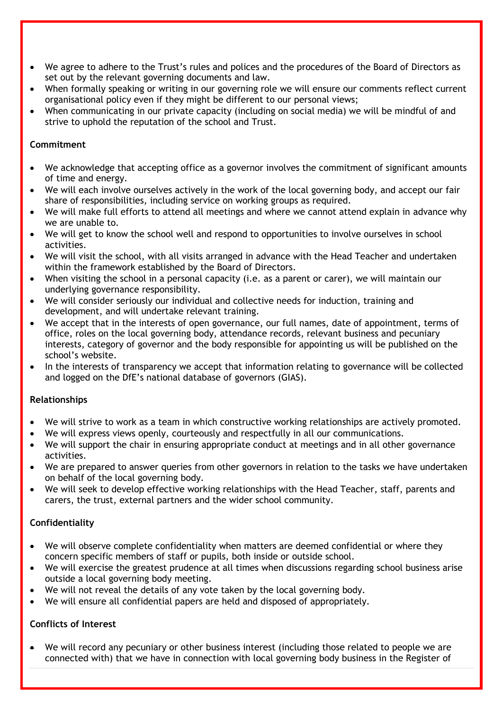- We agree to adhere to the Trust's rules and polices and the procedures of the Board of Directors as set out by the relevant governing documents and law.
- When formally speaking or writing in our governing role we will ensure our comments reflect current organisational policy even if they might be different to our personal views;
- When communicating in our private capacity (including on social media) we will be mindful of and strive to uphold the reputation of the school and Trust.

#### **Commitment**

- We acknowledge that accepting office as a governor involves the commitment of significant amounts of time and energy.
- We will each involve ourselves actively in the work of the local governing body, and accept our fair share of responsibilities, including service on working groups as required.
- We will make full efforts to attend all meetings and where we cannot attend explain in advance why we are unable to.
- We will get to know the school well and respond to opportunities to involve ourselves in school activities.
- We will visit the school, with all visits arranged in advance with the Head Teacher and undertaken within the framework established by the Board of Directors.
- When visiting the school in a personal capacity (i.e. as a parent or carer), we will maintain our underlying governance responsibility.
- We will consider seriously our individual and collective needs for induction, training and development, and will undertake relevant training.
- We accept that in the interests of open governance, our full names, date of appointment, terms of office, roles on the local governing body, attendance records, relevant business and pecuniary interests, category of governor and the body responsible for appointing us will be published on the school's website.
- In the interests of transparency we accept that information relating to governance will be collected and logged on the DfE's national database of governors (GIAS).

#### **Relationships**

- We will strive to work as a team in which constructive working relationships are actively promoted.
- We will express views openly, courteously and respectfully in all our communications.
- We will support the chair in ensuring appropriate conduct at meetings and in all other governance activities.
- We are prepared to answer queries from other governors in relation to the tasks we have undertaken on behalf of the local governing body.
- We will seek to develop effective working relationships with the Head Teacher, staff, parents and carers, the trust, external partners and the wider school community.

#### **Confidentiality**

- We will observe complete confidentiality when matters are deemed confidential or where they concern specific members of staff or pupils, both inside or outside school.
- We will exercise the greatest prudence at all times when discussions regarding school business arise outside a local governing body meeting.
- We will not reveal the details of any vote taken by the local governing body.
- We will ensure all confidential papers are held and disposed of appropriately.

#### **Conflicts of Interest**

• We will record any pecuniary or other business interest (including those related to people we are connected with) that we have in connection with local governing body business in the Register of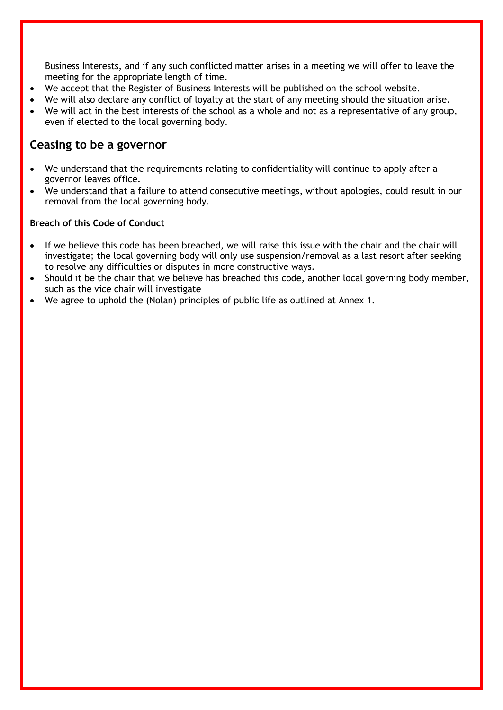Business Interests, and if any such conflicted matter arises in a meeting we will offer to leave the meeting for the appropriate length of time.

- We accept that the Register of Business Interests will be published on the school website.
- We will also declare any conflict of loyalty at the start of any meeting should the situation arise.
- We will act in the best interests of the school as a whole and not as a representative of any group, even if elected to the local governing body.

### **Ceasing to be a governor**

- We understand that the requirements relating to confidentiality will continue to apply after a governor leaves office.
- We understand that a failure to attend consecutive meetings, without apologies, could result in our removal from the local governing body.

#### **Breach of this Code of Conduct**

- If we believe this code has been breached, we will raise this issue with the chair and the chair will investigate; the local governing body will only use suspension/removal as a last resort after seeking to resolve any difficulties or disputes in more constructive ways.
- Should it be the chair that we believe has breached this code, another local governing body member, such as the vice chair will investigate
- We agree to uphold the (Nolan) principles of public life as outlined at Annex 1.